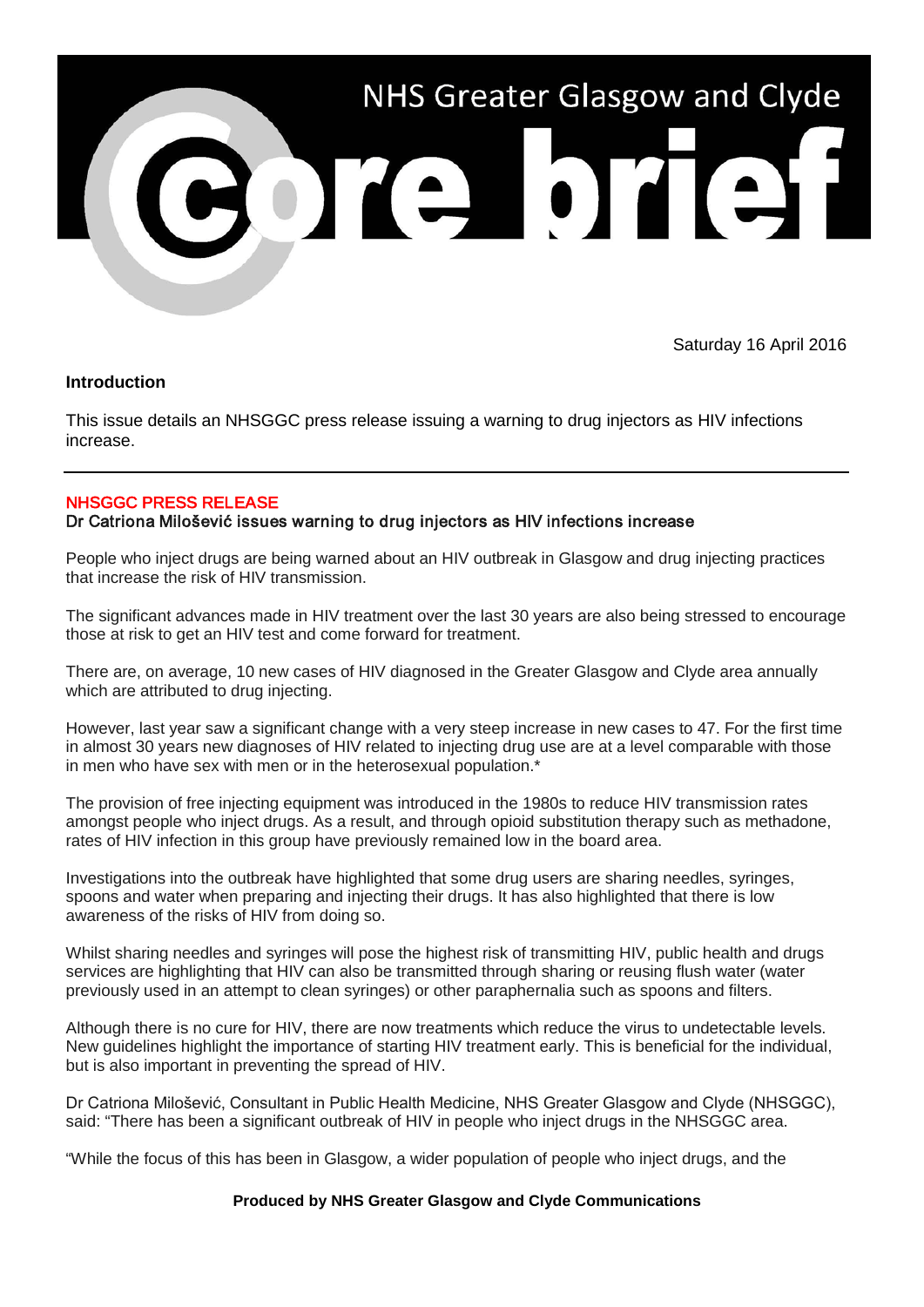

Saturday 16 April 2016

## **Introduction**

This issue details an NHSGGC press release issuing a warning to drug injectors as HIV infections increase.

## NHSGGC PRESS RELEASE

Dr Catriona Milošević issues warning to drug injectors as HIV infections increase

People who inject drugs are being warned about an HIV outbreak in Glasgow and drug injecting practices that increase the risk of HIV transmission.

The significant advances made in HIV treatment over the last 30 years are also being stressed to encourage those at risk to get an HIV test and come forward for treatment.

There are, on average, 10 new cases of HIV diagnosed in the Greater Glasgow and Clyde area annually which are attributed to drug injecting.

However, last year saw a significant change with a very steep increase in new cases to 47. For the first time in almost 30 years new diagnoses of HIV related to injecting drug use are at a level comparable with those in men who have sex with men or in the heterosexual population.\*

The provision of free injecting equipment was introduced in the 1980s to reduce HIV transmission rates amongst people who inject drugs. As a result, and through opioid substitution therapy such as methadone, rates of HIV infection in this group have previously remained low in the board area.

Investigations into the outbreak have highlighted that some drug users are sharing needles, syringes, spoons and water when preparing and injecting their drugs. It has also highlighted that there is low awareness of the risks of HIV from doing so.

Whilst sharing needles and syringes will pose the highest risk of transmitting HIV, public health and drugs services are highlighting that HIV can also be transmitted through sharing or reusing flush water (water previously used in an attempt to clean syringes) or other paraphernalia such as spoons and filters.

Although there is no cure for HIV, there are now treatments which reduce the virus to undetectable levels. New guidelines highlight the importance of starting HIV treatment early. This is beneficial for the individual, but is also important in preventing the spread of HIV.

Dr Catriona Milošević, Consultant in Public Health Medicine, NHS Greater Glasgow and Clyde (NHSGGC), said: "There has been a significant outbreak of HIV in people who inject drugs in the NHSGGC area.

"While the focus of this has been in Glasgow, a wider population of people who inject drugs, and the

## **Produced by NHS Greater Glasgow and Clyde Communications**